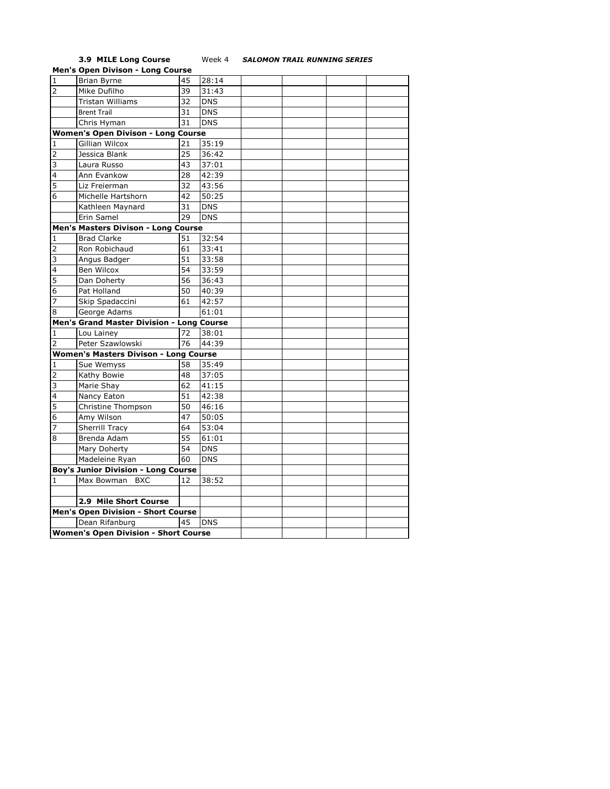## **3.9 MILE Long Course** Week 4 *SALOMON TRAIL RUNNING SERIES*

|                                             | <b>Men's Open Divison - Long Course</b>      |    |            |  |  |  |  |  |
|---------------------------------------------|----------------------------------------------|----|------------|--|--|--|--|--|
| $\mathbf{1}$                                | <b>Brian Byrne</b>                           | 45 | 28:14      |  |  |  |  |  |
| $\overline{2}$                              | Mike Dufilho                                 | 39 | 31:43      |  |  |  |  |  |
|                                             | <b>Tristan Williams</b>                      | 32 | <b>DNS</b> |  |  |  |  |  |
|                                             | <b>Brent Trail</b>                           | 31 | <b>DNS</b> |  |  |  |  |  |
|                                             | Chris Hyman                                  | 31 | <b>DNS</b> |  |  |  |  |  |
|                                             | Women's Open Divison - Long Course           |    |            |  |  |  |  |  |
| 1                                           | <b>Gillian Wilcox</b>                        | 21 | 35:19      |  |  |  |  |  |
| $\overline{2}$                              | Jessica Blank                                | 25 | 36:42      |  |  |  |  |  |
| 3                                           | Laura Russo                                  | 43 | 37:01      |  |  |  |  |  |
| 4                                           | Ann Evankow                                  | 28 | 42:39      |  |  |  |  |  |
| 5                                           | Liz Freierman                                | 32 | 43:56      |  |  |  |  |  |
| 6                                           | Michelle Hartshorn                           | 42 | 50:25      |  |  |  |  |  |
|                                             | Kathleen Maynard                             | 31 | <b>DNS</b> |  |  |  |  |  |
|                                             | Erin Samel                                   | 29 | <b>DNS</b> |  |  |  |  |  |
|                                             | Men's Masters Divison - Long Course          |    |            |  |  |  |  |  |
| 1                                           | <b>Brad Clarke</b>                           | 51 | 32:54      |  |  |  |  |  |
| $\overline{2}$                              | Ron Robichaud                                | 61 | 33:41      |  |  |  |  |  |
| 3                                           | Angus Badger                                 | 51 | 33:58      |  |  |  |  |  |
| 4                                           | Ben Wilcox                                   | 54 | 33:59      |  |  |  |  |  |
| 5                                           | Dan Doherty                                  | 56 | 36:43      |  |  |  |  |  |
| 6                                           | Pat Holland                                  | 50 | 40:39      |  |  |  |  |  |
| 7                                           | Skip Spadaccini                              | 61 | 42:57      |  |  |  |  |  |
| 8                                           | George Adams                                 |    | 61:01      |  |  |  |  |  |
|                                             | Men's Grand Master Division - Long Course    |    |            |  |  |  |  |  |
| 1                                           | Lou Lainey                                   | 72 | 38:01      |  |  |  |  |  |
| $\overline{2}$                              | Peter Szawlowski                             | 76 | 44:39      |  |  |  |  |  |
|                                             | <b>Women's Masters Divison - Long Course</b> |    |            |  |  |  |  |  |
| 1                                           | Sue Wemyss                                   | 58 | 35:49      |  |  |  |  |  |
| 2                                           | Kathy Bowie                                  | 48 | 37:05      |  |  |  |  |  |
| 3                                           | Marie Shay                                   | 62 | 41:15      |  |  |  |  |  |
| 4                                           | Nancy Eaton                                  | 51 | 42:38      |  |  |  |  |  |
| 5                                           | Christine Thompson                           | 50 | 46:16      |  |  |  |  |  |
| 6                                           | Amy Wilson                                   | 47 | 50:05      |  |  |  |  |  |
| 7                                           | <b>Sherrill Tracy</b>                        | 64 | 53:04      |  |  |  |  |  |
| 8                                           | Brenda Adam                                  | 55 | 61:01      |  |  |  |  |  |
|                                             | Mary Doherty                                 | 54 | <b>DNS</b> |  |  |  |  |  |
|                                             | Madeleine Ryan                               | 60 | <b>DNS</b> |  |  |  |  |  |
| <b>Boy's Junior Division - Long Course</b>  |                                              |    |            |  |  |  |  |  |
| 1                                           | Max Bowman BXC                               | 12 | 38:52      |  |  |  |  |  |
|                                             |                                              |    |            |  |  |  |  |  |
|                                             | 2.9 Mile Short Course                        |    |            |  |  |  |  |  |
|                                             | <b>Men's Open Division - Short Course</b>    |    |            |  |  |  |  |  |
|                                             | Dean Rifanburg                               | 45 | <b>DNS</b> |  |  |  |  |  |
| <b>Women's Open Division - Short Course</b> |                                              |    |            |  |  |  |  |  |